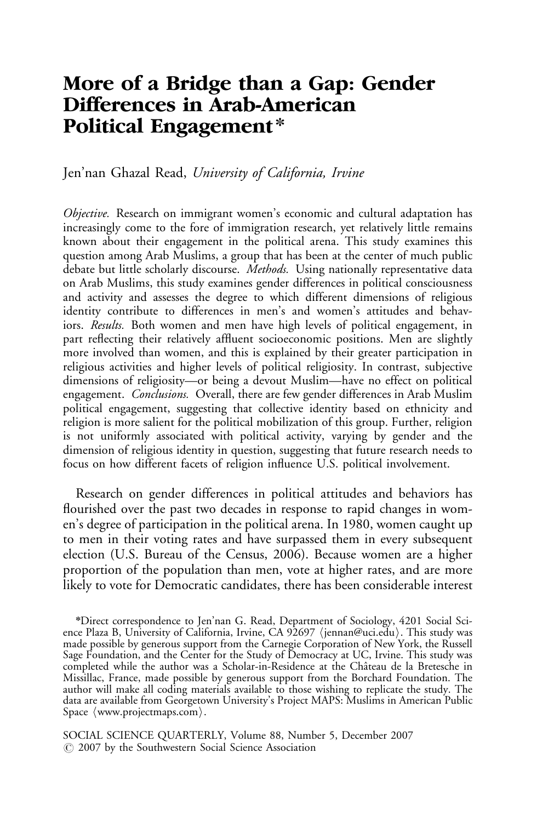# More of a Bridge than a Gap: Gender Differences in Arab-American Political Engagement\*

Jen'nan Ghazal Read, University of California, Irvine

*Objective*. Research on immigrant women's economic and cultural adaptation has increasingly come to the fore of immigration research, yet relatively little remains known about their engagement in the political arena. This study examines this question among Arab Muslims, a group that has been at the center of much public debate but little scholarly discourse. Methods. Using nationally representative data on Arab Muslims, this study examines gender differences in political consciousness and activity and assesses the degree to which different dimensions of religious identity contribute to differences in men's and women's attitudes and behaviors. Results. Both women and men have high levels of political engagement, in part reflecting their relatively affluent socioeconomic positions. Men are slightly more involved than women, and this is explained by their greater participation in religious activities and higher levels of political religiosity. In contrast, subjective dimensions of religiosity—or being a devout Muslim—have no effect on political engagement. Conclusions. Overall, there are few gender differences in Arab Muslim political engagement, suggesting that collective identity based on ethnicity and religion is more salient for the political mobilization of this group. Further, religion is not uniformly associated with political activity, varying by gender and the dimension of religious identity in question, suggesting that future research needs to focus on how different facets of religion influence U.S. political involvement.

Research on gender differences in political attitudes and behaviors has flourished over the past two decades in response to rapid changes in women's degree of participation in the political arena. In 1980, women caught up to men in their voting rates and have surpassed them in every subsequent election (U.S. Bureau of the Census, 2006). Because women are a higher proportion of the population than men, vote at higher rates, and are more likely to vote for Democratic candidates, there has been considerable interest

\*Direct correspondence to Jen'nan G. Read, Department of Sociology, 4201 Social Science Plaza B, University of California, Irvine, CA 92697 (jennan@uci.edu). This study was made possible by generous support from the Carnegie Corporation of New York, the Russell Sage Foundation, and the Center for the Study of Democracy at UC, Irvine. This study was completed while the author was a Scholar-in-Residence at the Château de la Bretesche in Missillac, France, made possible by generous support from the Borchard Foundation. The author will make all coding materials available to those wishing to replicate the study. The data are available from Georgetown University's Project MAPS: Muslims in American Public Space  $\langle www.projectmaps.com \rangle$ .

SOCIAL SCIENCE QUARTERLY, Volume 88, Number 5, December 2007  $\circ$  2007 by the Southwestern Social Science Association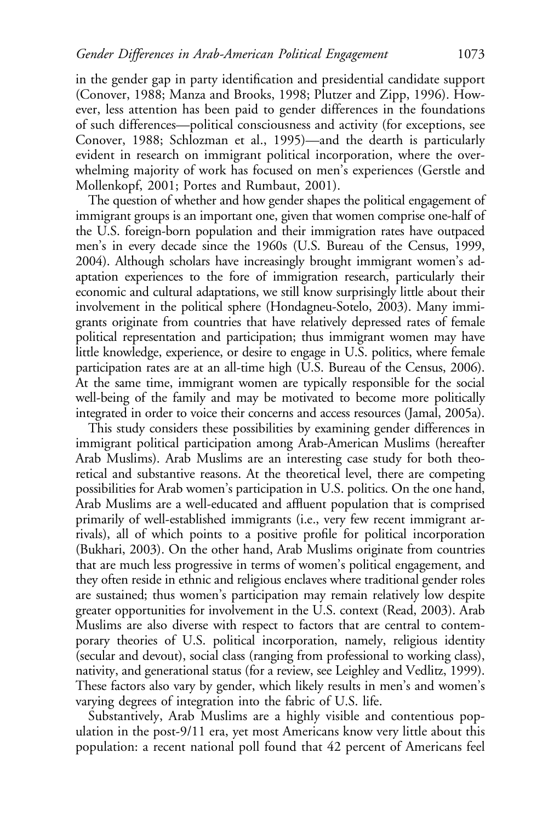in the gender gap in party identification and presidential candidate support (Conover, 1988; Manza and Brooks, 1998; Plutzer and Zipp, 1996). However, less attention has been paid to gender differences in the foundations of such differences—political consciousness and activity (for exceptions, see Conover, 1988; Schlozman et al., 1995)—and the dearth is particularly evident in research on immigrant political incorporation, where the overwhelming majority of work has focused on men's experiences (Gerstle and Mollenkopf, 2001; Portes and Rumbaut, 2001).

The question of whether and how gender shapes the political engagement of immigrant groups is an important one, given that women comprise one-half of the U.S. foreign-born population and their immigration rates have outpaced men's in every decade since the 1960s (U.S. Bureau of the Census, 1999, 2004). Although scholars have increasingly brought immigrant women's adaptation experiences to the fore of immigration research, particularly their economic and cultural adaptations, we still know surprisingly little about their involvement in the political sphere (Hondagneu-Sotelo, 2003). Many immigrants originate from countries that have relatively depressed rates of female political representation and participation; thus immigrant women may have little knowledge, experience, or desire to engage in U.S. politics, where female participation rates are at an all-time high (U.S. Bureau of the Census, 2006). At the same time, immigrant women are typically responsible for the social well-being of the family and may be motivated to become more politically integrated in order to voice their concerns and access resources (Jamal, 2005a).

This study considers these possibilities by examining gender differences in immigrant political participation among Arab-American Muslims (hereafter Arab Muslims). Arab Muslims are an interesting case study for both theoretical and substantive reasons. At the theoretical level, there are competing possibilities for Arab women's participation in U.S. politics. On the one hand, Arab Muslims are a well-educated and affluent population that is comprised primarily of well-established immigrants (i.e., very few recent immigrant arrivals), all of which points to a positive profile for political incorporation (Bukhari, 2003). On the other hand, Arab Muslims originate from countries that are much less progressive in terms of women's political engagement, and they often reside in ethnic and religious enclaves where traditional gender roles are sustained; thus women's participation may remain relatively low despite greater opportunities for involvement in the U.S. context (Read, 2003). Arab Muslims are also diverse with respect to factors that are central to contemporary theories of U.S. political incorporation, namely, religious identity (secular and devout), social class (ranging from professional to working class), nativity, and generational status (for a review, see Leighley and Vedlitz, 1999). These factors also vary by gender, which likely results in men's and women's varying degrees of integration into the fabric of U.S. life.

Substantively, Arab Muslims are a highly visible and contentious population in the post-9/11 era, yet most Americans know very little about this population: a recent national poll found that 42 percent of Americans feel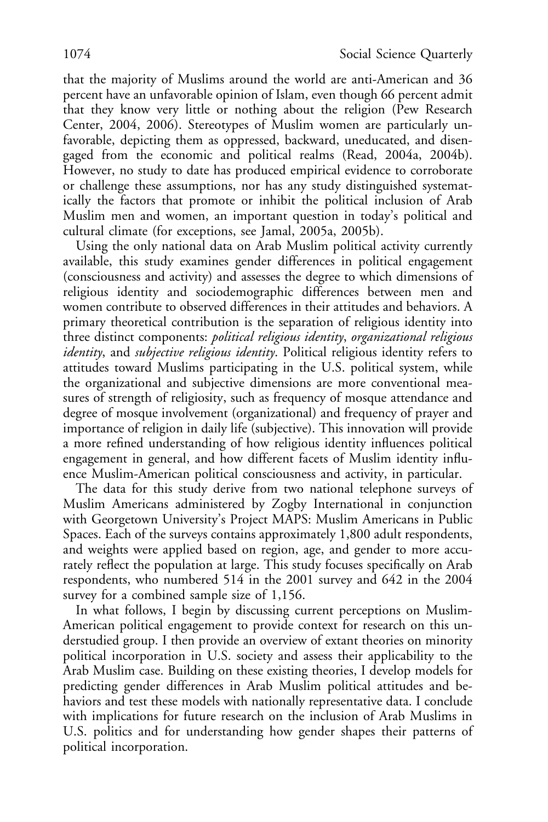that the majority of Muslims around the world are anti-American and 36 percent have an unfavorable opinion of Islam, even though 66 percent admit that they know very little or nothing about the religion (Pew Research Center, 2004, 2006). Stereotypes of Muslim women are particularly unfavorable, depicting them as oppressed, backward, uneducated, and disengaged from the economic and political realms (Read, 2004a, 2004b). However, no study to date has produced empirical evidence to corroborate or challenge these assumptions, nor has any study distinguished systematically the factors that promote or inhibit the political inclusion of Arab Muslim men and women, an important question in today's political and cultural climate (for exceptions, see Jamal, 2005a, 2005b).

Using the only national data on Arab Muslim political activity currently available, this study examines gender differences in political engagement (consciousness and activity) and assesses the degree to which dimensions of religious identity and sociodemographic differences between men and women contribute to observed differences in their attitudes and behaviors. A primary theoretical contribution is the separation of religious identity into three distinct components: political religious identity, organizational religious identity, and *subjective religious identity*. Political religious identity refers to attitudes toward Muslims participating in the U.S. political system, while the organizational and subjective dimensions are more conventional measures of strength of religiosity, such as frequency of mosque attendance and degree of mosque involvement (organizational) and frequency of prayer and importance of religion in daily life (subjective). This innovation will provide a more refined understanding of how religious identity influences political engagement in general, and how different facets of Muslim identity influence Muslim-American political consciousness and activity, in particular.

The data for this study derive from two national telephone surveys of Muslim Americans administered by Zogby International in conjunction with Georgetown University's Project MAPS: Muslim Americans in Public Spaces. Each of the surveys contains approximately 1,800 adult respondents, and weights were applied based on region, age, and gender to more accurately reflect the population at large. This study focuses specifically on Arab respondents, who numbered 514 in the 2001 survey and 642 in the 2004 survey for a combined sample size of 1,156.

In what follows, I begin by discussing current perceptions on Muslim-American political engagement to provide context for research on this understudied group. I then provide an overview of extant theories on minority political incorporation in U.S. society and assess their applicability to the Arab Muslim case. Building on these existing theories, I develop models for predicting gender differences in Arab Muslim political attitudes and behaviors and test these models with nationally representative data. I conclude with implications for future research on the inclusion of Arab Muslims in U.S. politics and for understanding how gender shapes their patterns of political incorporation.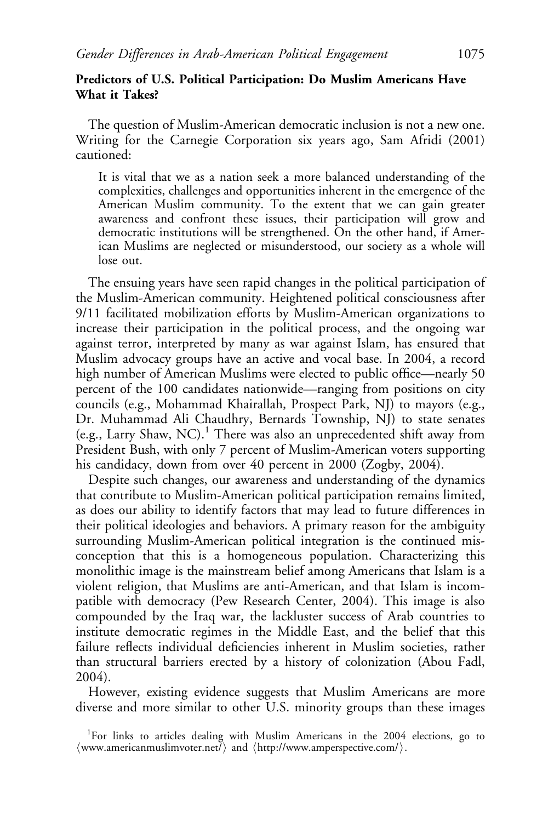#### Predictors of U.S. Political Participation: Do Muslim Americans Have What it Takes?

The question of Muslim-American democratic inclusion is not a new one. Writing for the Carnegie Corporation six years ago, Sam Afridi (2001) cautioned:

It is vital that we as a nation seek a more balanced understanding of the complexities, challenges and opportunities inherent in the emergence of the American Muslim community. To the extent that we can gain greater awareness and confront these issues, their participation will grow and democratic institutions will be strengthened. On the other hand, if American Muslims are neglected or misunderstood, our society as a whole will lose out.

The ensuing years have seen rapid changes in the political participation of the Muslim-American community. Heightened political consciousness after 9/11 facilitated mobilization efforts by Muslim-American organizations to increase their participation in the political process, and the ongoing war against terror, interpreted by many as war against Islam, has ensured that Muslim advocacy groups have an active and vocal base. In 2004, a record high number of American Muslims were elected to public office—nearly 50 percent of the 100 candidates nationwide—ranging from positions on city councils (e.g., Mohammad Khairallah, Prospect Park, NJ) to mayors (e.g., Dr. Muhammad Ali Chaudhry, Bernards Township, NJ) to state senates (e.g., Larry Shaw, NC).<sup>1</sup> There was also an unprecedented shift away from President Bush, with only 7 percent of Muslim-American voters supporting his candidacy, down from over 40 percent in 2000 (Zogby, 2004).

Despite such changes, our awareness and understanding of the dynamics that contribute to Muslim-American political participation remains limited, as does our ability to identify factors that may lead to future differences in their political ideologies and behaviors. A primary reason for the ambiguity surrounding Muslim-American political integration is the continued misconception that this is a homogeneous population. Characterizing this monolithic image is the mainstream belief among Americans that Islam is a violent religion, that Muslims are anti-American, and that Islam is incompatible with democracy (Pew Research Center, 2004). This image is also compounded by the Iraq war, the lackluster success of Arab countries to institute democratic regimes in the Middle East, and the belief that this failure reflects individual deficiencies inherent in Muslim societies, rather than structural barriers erected by a history of colonization (Abou Fadl, 2004).

However, existing evidence suggests that Muslim Americans are more diverse and more similar to other U.S. minority groups than these images

<sup>&</sup>lt;sup>1</sup>For links to articles dealing with Muslim Americans in the 2004 elections, go to  $\langle$ www.americanmuslimvoter.net/ $\rangle$  and  $\langle$ http://www.amperspective.com/ $\rangle$ .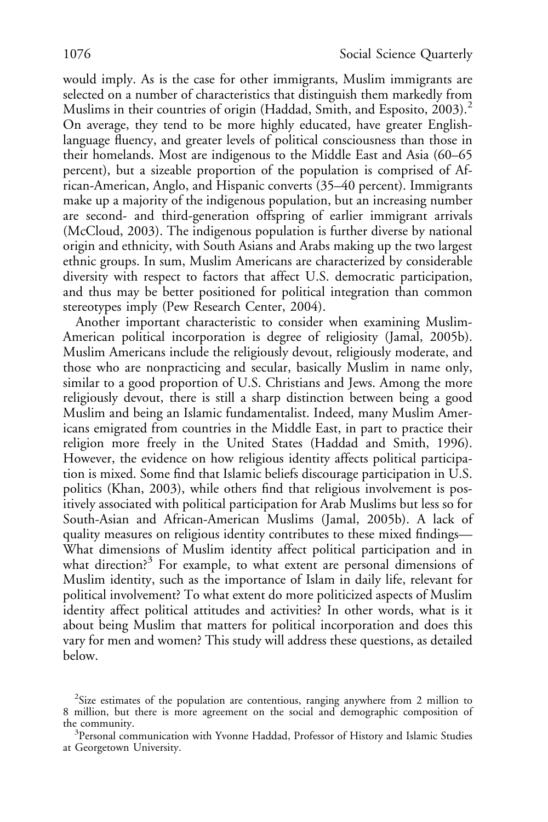would imply. As is the case for other immigrants, Muslim immigrants are selected on a number of characteristics that distinguish them markedly from Muslims in their countries of origin (Haddad, Smith, and Esposito, 2003).<sup>2</sup> On average, they tend to be more highly educated, have greater Englishlanguage fluency, and greater levels of political consciousness than those in their homelands. Most are indigenous to the Middle East and Asia (60–65 percent), but a sizeable proportion of the population is comprised of African-American, Anglo, and Hispanic converts (35–40 percent). Immigrants make up a majority of the indigenous population, but an increasing number are second- and third-generation offspring of earlier immigrant arrivals (McCloud, 2003). The indigenous population is further diverse by national origin and ethnicity, with South Asians and Arabs making up the two largest ethnic groups. In sum, Muslim Americans are characterized by considerable diversity with respect to factors that affect U.S. democratic participation, and thus may be better positioned for political integration than common stereotypes imply (Pew Research Center, 2004).

Another important characteristic to consider when examining Muslim-American political incorporation is degree of religiosity (Jamal, 2005b). Muslim Americans include the religiously devout, religiously moderate, and those who are nonpracticing and secular, basically Muslim in name only, similar to a good proportion of U.S. Christians and Jews. Among the more religiously devout, there is still a sharp distinction between being a good Muslim and being an Islamic fundamentalist. Indeed, many Muslim Americans emigrated from countries in the Middle East, in part to practice their religion more freely in the United States (Haddad and Smith, 1996). However, the evidence on how religious identity affects political participation is mixed. Some find that Islamic beliefs discourage participation in U.S. politics (Khan, 2003), while others find that religious involvement is positively associated with political participation for Arab Muslims but less so for South-Asian and African-American Muslims (Jamal, 2005b). A lack of quality measures on religious identity contributes to these mixed findings— What dimensions of Muslim identity affect political participation and in what direction?<sup>3</sup> For example, to what extent are personal dimensions of Muslim identity, such as the importance of Islam in daily life, relevant for political involvement? To what extent do more politicized aspects of Muslim identity affect political attitudes and activities? In other words, what is it about being Muslim that matters for political incorporation and does this vary for men and women? This study will address these questions, as detailed below.

<sup>&</sup>lt;sup>2</sup>Size estimates of the population are contentious, ranging anywhere from 2 million to 8 million, but there is more agreement on the social and demographic composition of the community.

<sup>&</sup>lt;sup>3</sup> Personal communication with Yvonne Haddad, Professor of History and Islamic Studies at Georgetown University.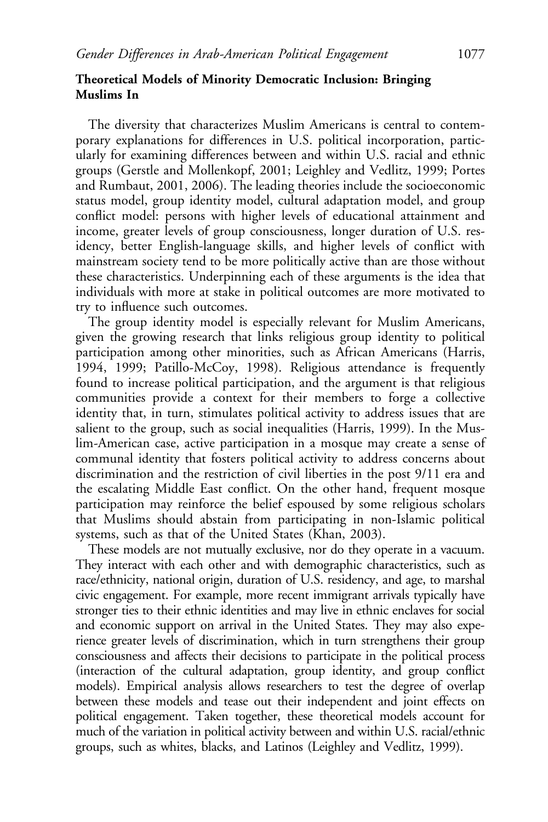## Theoretical Models of Minority Democratic Inclusion: Bringing Muslims In

The diversity that characterizes Muslim Americans is central to contemporary explanations for differences in U.S. political incorporation, particularly for examining differences between and within U.S. racial and ethnic groups (Gerstle and Mollenkopf, 2001; Leighley and Vedlitz, 1999; Portes and Rumbaut, 2001, 2006). The leading theories include the socioeconomic status model, group identity model, cultural adaptation model, and group conflict model: persons with higher levels of educational attainment and income, greater levels of group consciousness, longer duration of U.S. residency, better English-language skills, and higher levels of conflict with mainstream society tend to be more politically active than are those without these characteristics. Underpinning each of these arguments is the idea that individuals with more at stake in political outcomes are more motivated to try to influence such outcomes.

The group identity model is especially relevant for Muslim Americans, given the growing research that links religious group identity to political participation among other minorities, such as African Americans (Harris, 1994, 1999; Patillo-McCoy, 1998). Religious attendance is frequently found to increase political participation, and the argument is that religious communities provide a context for their members to forge a collective identity that, in turn, stimulates political activity to address issues that are salient to the group, such as social inequalities (Harris, 1999). In the Muslim-American case, active participation in a mosque may create a sense of communal identity that fosters political activity to address concerns about discrimination and the restriction of civil liberties in the post 9/11 era and the escalating Middle East conflict. On the other hand, frequent mosque participation may reinforce the belief espoused by some religious scholars that Muslims should abstain from participating in non-Islamic political systems, such as that of the United States (Khan, 2003).

These models are not mutually exclusive, nor do they operate in a vacuum. They interact with each other and with demographic characteristics, such as race/ethnicity, national origin, duration of U.S. residency, and age, to marshal civic engagement. For example, more recent immigrant arrivals typically have stronger ties to their ethnic identities and may live in ethnic enclaves for social and economic support on arrival in the United States. They may also experience greater levels of discrimination, which in turn strengthens their group consciousness and affects their decisions to participate in the political process (interaction of the cultural adaptation, group identity, and group conflict models). Empirical analysis allows researchers to test the degree of overlap between these models and tease out their independent and joint effects on political engagement. Taken together, these theoretical models account for much of the variation in political activity between and within U.S. racial/ethnic groups, such as whites, blacks, and Latinos (Leighley and Vedlitz, 1999).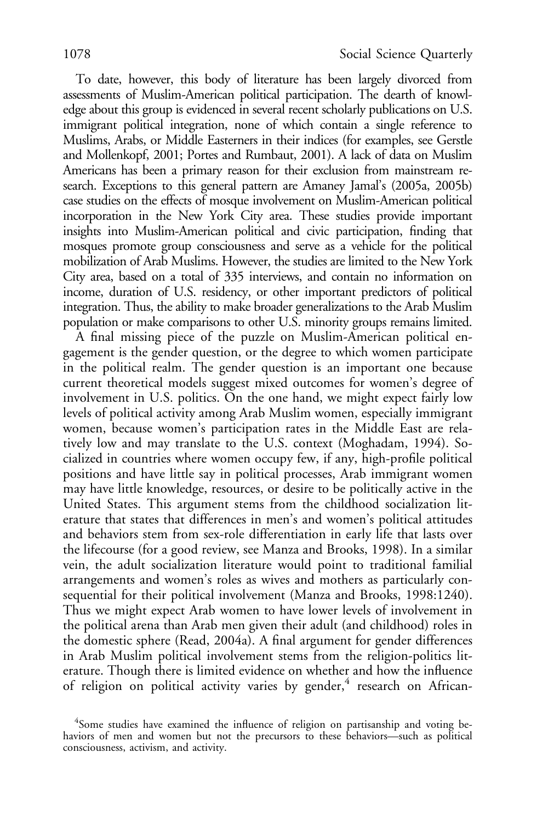To date, however, this body of literature has been largely divorced from assessments of Muslim-American political participation. The dearth of knowledge about this group is evidenced in several recent scholarly publications on U.S. immigrant political integration, none of which contain a single reference to Muslims, Arabs, or Middle Easterners in their indices (for examples, see Gerstle and Mollenkopf, 2001; Portes and Rumbaut, 2001). A lack of data on Muslim Americans has been a primary reason for their exclusion from mainstream research. Exceptions to this general pattern are Amaney Jamal's (2005a, 2005b) case studies on the effects of mosque involvement on Muslim-American political incorporation in the New York City area. These studies provide important insights into Muslim-American political and civic participation, finding that mosques promote group consciousness and serve as a vehicle for the political mobilization of Arab Muslims. However, the studies are limited to the New York City area, based on a total of 335 interviews, and contain no information on income, duration of U.S. residency, or other important predictors of political integration. Thus, the ability to make broader generalizations to the Arab Muslim population or make comparisons to other U.S. minority groups remains limited.

A final missing piece of the puzzle on Muslim-American political engagement is the gender question, or the degree to which women participate in the political realm. The gender question is an important one because current theoretical models suggest mixed outcomes for women's degree of involvement in U.S. politics. On the one hand, we might expect fairly low levels of political activity among Arab Muslim women, especially immigrant women, because women's participation rates in the Middle East are relatively low and may translate to the U.S. context (Moghadam, 1994). Socialized in countries where women occupy few, if any, high-profile political positions and have little say in political processes, Arab immigrant women may have little knowledge, resources, or desire to be politically active in the United States. This argument stems from the childhood socialization literature that states that differences in men's and women's political attitudes and behaviors stem from sex-role differentiation in early life that lasts over the lifecourse (for a good review, see Manza and Brooks, 1998). In a similar vein, the adult socialization literature would point to traditional familial arrangements and women's roles as wives and mothers as particularly consequential for their political involvement (Manza and Brooks, 1998:1240). Thus we might expect Arab women to have lower levels of involvement in the political arena than Arab men given their adult (and childhood) roles in the domestic sphere (Read, 2004a). A final argument for gender differences in Arab Muslim political involvement stems from the religion-politics literature. Though there is limited evidence on whether and how the influence of religion on political activity varies by gender, $4$  research on African-

<sup>&</sup>lt;sup>4</sup>Some studies have examined the influence of religion on partisanship and voting behaviors of men and women but not the precursors to these behaviors—such as political consciousness, activism, and activity.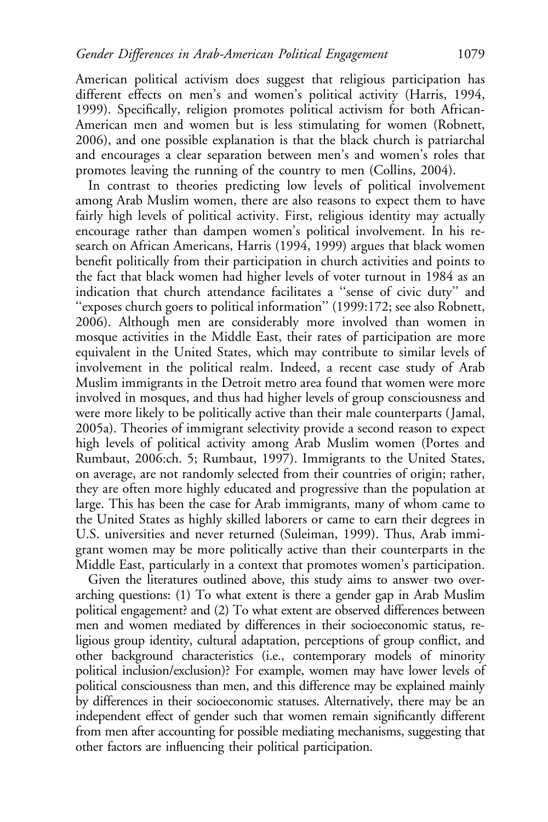American political activism does suggest that religious participation has different effects on men's and women's political activity (Harris, 1994, 1999). Specifically, religion promotes political activism for both African-American men and women but is less stimulating for women (Robnett, 2006), and one possible explanation is that the black church is patriarchal and encourages a clear separation between men's and women's roles that promotes leaving the running of the country to men (Collins, 2004).

In contrast to theories predicting low levels of political involvement among Arab Muslim women, there are also reasons to expect them to have fairly high levels of political activity. First, religious identity may actually encourage rather than dampen women's political involvement. In his research on African Americans, Harris (1994, 1999) argues that black women benefit politically from their participation in church activities and points to the fact that black women had higher levels of voter turnout in 1984 as an indication that church attendance facilitates a ''sense of civic duty'' and "exposes church goers to political information" (1999:172; see also Robnett, 2006). Although men are considerably more involved than women in mosque activities in the Middle East, their rates of participation are more equivalent in the United States, which may contribute to similar levels of involvement in the political realm. Indeed, a recent case study of Arab Muslim immigrants in the Detroit metro area found that women were more involved in mosques, and thus had higher levels of group consciousness and were more likely to be politically active than their male counterparts (Jamal, 2005a). Theories of immigrant selectivity provide a second reason to expect high levels of political activity among Arab Muslim women (Portes and Rumbaut, 2006:ch. 5; Rumbaut, 1997). Immigrants to the United States, on average, are not randomly selected from their countries of origin; rather, they are often more highly educated and progressive than the population at large. This has been the case for Arab immigrants, many of whom came to the United States as highly skilled laborers or came to earn their degrees in U.S. universities and never returned (Suleiman, 1999). Thus, Arab immigrant women may be more politically active than their counterparts in the Middle East, particularly in a context that promotes women's participation.

Given the literatures outlined above, this study aims to answer two overarching questions: (1) To what extent is there a gender gap in Arab Muslim political engagement? and (2) To what extent are observed differences between men and women mediated by differences in their socioeconomic status, religious group identity, cultural adaptation, perceptions of group conflict, and other background characteristics (i.e., contemporary models of minority political inclusion/exclusion)? For example, women may have lower levels of political consciousness than men, and this difference may be explained mainly by differences in their socioeconomic statuses. Alternatively, there may be an independent effect of gender such that women remain significantly different from men after accounting for possible mediating mechanisms, suggesting that other factors are influencing their political participation.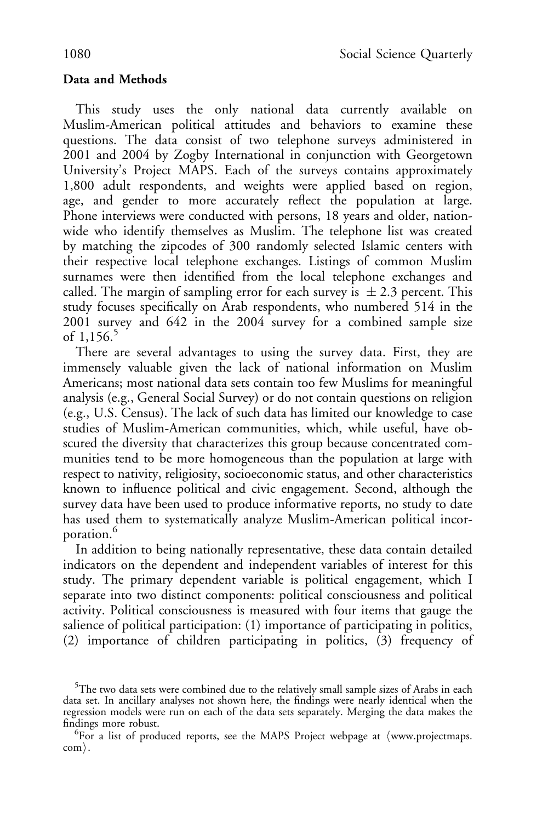## Data and Methods

This study uses the only national data currently available on Muslim-American political attitudes and behaviors to examine these questions. The data consist of two telephone surveys administered in 2001 and 2004 by Zogby International in conjunction with Georgetown University's Project MAPS. Each of the surveys contains approximately 1,800 adult respondents, and weights were applied based on region, age, and gender to more accurately reflect the population at large. Phone interviews were conducted with persons, 18 years and older, nationwide who identify themselves as Muslim. The telephone list was created by matching the zipcodes of 300 randomly selected Islamic centers with their respective local telephone exchanges. Listings of common Muslim surnames were then identified from the local telephone exchanges and called. The margin of sampling error for each survey is  $\pm 2.3$  percent. This study focuses specifically on Arab respondents, who numbered 514 in the 2001 survey and 642 in the 2004 survey for a combined sample size of  $1,156.5$ 

There are several advantages to using the survey data. First, they are immensely valuable given the lack of national information on Muslim Americans; most national data sets contain too few Muslims for meaningful analysis (e.g., General Social Survey) or do not contain questions on religion (e.g., U.S. Census). The lack of such data has limited our knowledge to case studies of Muslim-American communities, which, while useful, have obscured the diversity that characterizes this group because concentrated communities tend to be more homogeneous than the population at large with respect to nativity, religiosity, socioeconomic status, and other characteristics known to influence political and civic engagement. Second, although the survey data have been used to produce informative reports, no study to date has used them to systematically analyze Muslim-American political incorporation.<sup>6</sup>

In addition to being nationally representative, these data contain detailed indicators on the dependent and independent variables of interest for this study. The primary dependent variable is political engagement, which I separate into two distinct components: political consciousness and political activity. Political consciousness is measured with four items that gauge the salience of political participation: (1) importance of participating in politics, (2) importance of children participating in politics, (3) frequency of

<sup>&</sup>lt;sup>5</sup>The two data sets were combined due to the relatively small sample sizes of Arabs in each data set. In ancillary analyses not shown here, the findings were nearly identical when the regression models were run on each of the data sets separately. Merging the data makes the findings more robust. <sup>6</sup>

 ${}^{6}$ For a list of produced reports, see the MAPS Project webpage at  $\langle$ www.projectmaps. com $\rangle$ .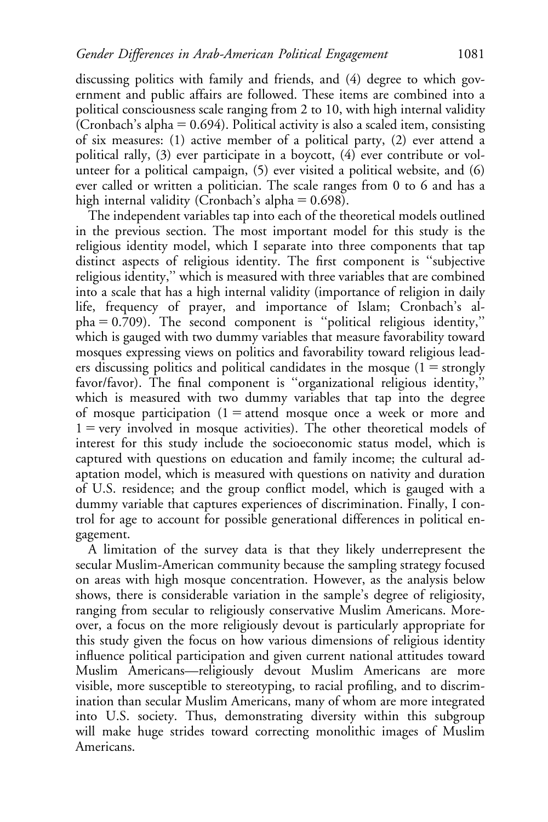discussing politics with family and friends, and (4) degree to which government and public affairs are followed. These items are combined into a political consciousness scale ranging from 2 to 10, with high internal validity (Cronbach's alpha  $= 0.694$ ). Political activity is also a scaled item, consisting of six measures: (1) active member of a political party, (2) ever attend a political rally, (3) ever participate in a boycott, (4) ever contribute or volunteer for a political campaign, (5) ever visited a political website, and (6) ever called or written a politician. The scale ranges from 0 to 6 and has a high internal validity (Cronbach's alpha  $= 0.698$ ).

The independent variables tap into each of the theoretical models outlined in the previous section. The most important model for this study is the religious identity model, which I separate into three components that tap distinct aspects of religious identity. The first component is ''subjective religious identity,'' which is measured with three variables that are combined into a scale that has a high internal validity (importance of religion in daily life, frequency of prayer, and importance of Islam; Cronbach's al $pha = 0.709$ ). The second component is "political religious identity," which is gauged with two dummy variables that measure favorability toward mosques expressing views on politics and favorability toward religious leaders discussing politics and political candidates in the mosque  $(1 =$  strongly favor/favor). The final component is ''organizational religious identity,'' which is measured with two dummy variables that tap into the degree of mosque participation  $(1 =$  attend mosque once a week or more and  $1 =$  very involved in mosque activities). The other theoretical models of interest for this study include the socioeconomic status model, which is captured with questions on education and family income; the cultural adaptation model, which is measured with questions on nativity and duration of U.S. residence; and the group conflict model, which is gauged with a dummy variable that captures experiences of discrimination. Finally, I control for age to account for possible generational differences in political engagement.

A limitation of the survey data is that they likely underrepresent the secular Muslim-American community because the sampling strategy focused on areas with high mosque concentration. However, as the analysis below shows, there is considerable variation in the sample's degree of religiosity, ranging from secular to religiously conservative Muslim Americans. Moreover, a focus on the more religiously devout is particularly appropriate for this study given the focus on how various dimensions of religious identity influence political participation and given current national attitudes toward Muslim Americans—religiously devout Muslim Americans are more visible, more susceptible to stereotyping, to racial profiling, and to discrimination than secular Muslim Americans, many of whom are more integrated into U.S. society. Thus, demonstrating diversity within this subgroup will make huge strides toward correcting monolithic images of Muslim Americans.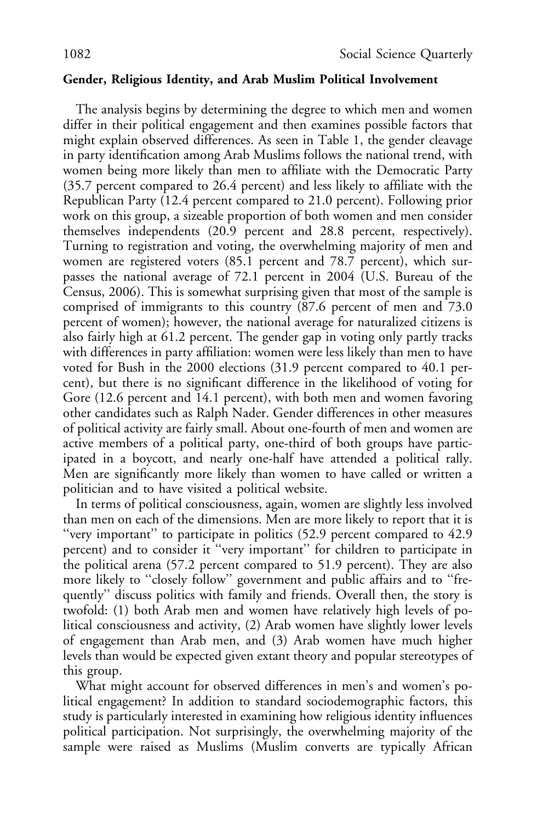## Gender, Religious Identity, and Arab Muslim Political Involvement

The analysis begins by determining the degree to which men and women differ in their political engagement and then examines possible factors that might explain observed differences. As seen in Table 1, the gender cleavage in party identification among Arab Muslims follows the national trend, with women being more likely than men to affiliate with the Democratic Party (35.7 percent compared to 26.4 percent) and less likely to affiliate with the Republican Party (12.4 percent compared to 21.0 percent). Following prior work on this group, a sizeable proportion of both women and men consider themselves independents (20.9 percent and 28.8 percent, respectively). Turning to registration and voting, the overwhelming majority of men and women are registered voters (85.1 percent and 78.7 percent), which surpasses the national average of 72.1 percent in 2004 (U.S. Bureau of the Census, 2006). This is somewhat surprising given that most of the sample is comprised of immigrants to this country (87.6 percent of men and 73.0 percent of women); however, the national average for naturalized citizens is also fairly high at 61.2 percent. The gender gap in voting only partly tracks with differences in party affiliation: women were less likely than men to have voted for Bush in the 2000 elections (31.9 percent compared to 40.1 percent), but there is no significant difference in the likelihood of voting for Gore (12.6 percent and 14.1 percent), with both men and women favoring other candidates such as Ralph Nader. Gender differences in other measures of political activity are fairly small. About one-fourth of men and women are active members of a political party, one-third of both groups have participated in a boycott, and nearly one-half have attended a political rally. Men are significantly more likely than women to have called or written a politician and to have visited a political website.

In terms of political consciousness, again, women are slightly less involved than men on each of the dimensions. Men are more likely to report that it is "very important" to participate in politics (52.9 percent compared to 42.9 percent) and to consider it ''very important'' for children to participate in the political arena (57.2 percent compared to 51.9 percent). They are also more likely to "closely follow" government and public affairs and to "frequently'' discuss politics with family and friends. Overall then, the story is twofold: (1) both Arab men and women have relatively high levels of political consciousness and activity, (2) Arab women have slightly lower levels of engagement than Arab men, and (3) Arab women have much higher levels than would be expected given extant theory and popular stereotypes of this group.

What might account for observed differences in men's and women's political engagement? In addition to standard sociodemographic factors, this study is particularly interested in examining how religious identity influences political participation. Not surprisingly, the overwhelming majority of the sample were raised as Muslims (Muslim converts are typically African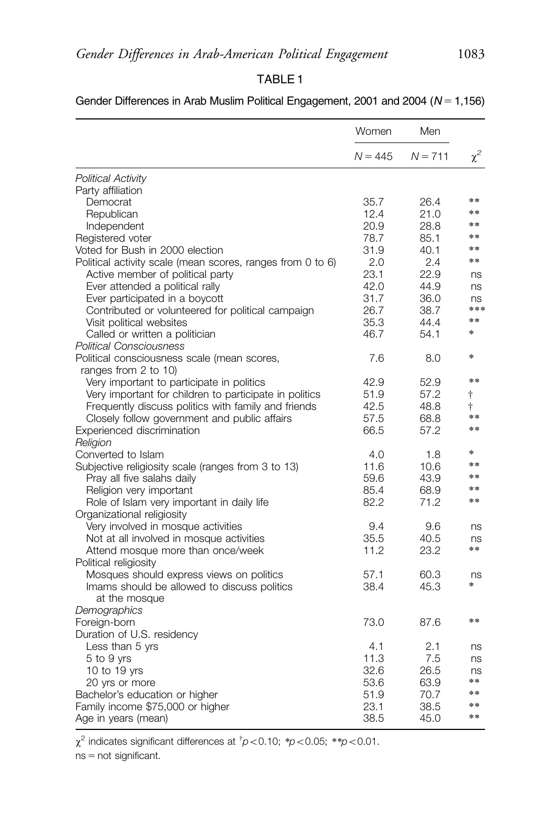## TABLE 1

## Gender Differences in Arab Muslim Political Engagement, 2001 and 2004 ( $N = 1,156$ )

|                                                                                                               | Women     | Men       |           |
|---------------------------------------------------------------------------------------------------------------|-----------|-----------|-----------|
|                                                                                                               | $N = 445$ | $N = 711$ | $\chi^2$  |
| Political Activity                                                                                            |           |           |           |
| Party affiliation                                                                                             |           |           |           |
| Democrat                                                                                                      | 35.7      | 26.4      | **        |
| Republican                                                                                                    | 12.4      | 21.0      | $**$      |
| Independent                                                                                                   | 20.9      | 28.8      | **        |
| Registered voter                                                                                              | 78.7      | 85.1      | **        |
| Voted for Bush in 2000 election                                                                               | 31.9      | 40.1      | **        |
| Political activity scale (mean scores, ranges from 0 to 6)                                                    | 2.0       | 2.4       | **        |
| Active member of political party                                                                              | 23.1      | 22.9      | ns        |
| Ever attended a political rally                                                                               | 42.0      | 44.9      | ns        |
| Ever participated in a boycott                                                                                | 31.7      | 36.0      | ns<br>*** |
| Contributed or volunteered for political campaign                                                             | 26.7      | 38.7      | **        |
| Visit political websites                                                                                      | 35.3      | 44.4      | $\ast$    |
| Called or written a politician                                                                                | 46.7      | 54.1      |           |
| Political Consciousness                                                                                       |           |           | $\star$   |
| Political consciousness scale (mean scores,                                                                   | 7.6       | 8.0       |           |
| ranges from 2 to 10)                                                                                          | 42.9      | 52.9      | $**$      |
| Very important to participate in politics                                                                     | 51.9      | 57.2      |           |
| Very important for children to participate in politics<br>Frequently discuss politics with family and friends | 42.5      | 48.8      | t<br>t    |
| Closely follow government and public affairs                                                                  | 57.5      | 68.8      | **        |
| Experienced discrimination                                                                                    | 66.5      | 57.2      | $**$      |
| Religion                                                                                                      |           |           |           |
| Converted to Islam                                                                                            | 4.0       | 1.8       | *         |
| Subjective religiosity scale (ranges from 3 to 13)                                                            | 11.6      | 10.6      | $* *$     |
| Pray all five salahs daily                                                                                    | 59.6      | 43.9      | **        |
| Religion very important                                                                                       | 85.4      | 68.9      | **        |
| Role of Islam very important in daily life                                                                    | 82.2      | 71.2      | $* *$     |
| Organizational religiosity                                                                                    |           |           |           |
| Very involved in mosque activities                                                                            | 9.4       | 9.6       | ns        |
| Not at all involved in mosque activities                                                                      | 35.5      | 40.5      | ns        |
| Attend mosque more than once/week                                                                             | 11.2      | 23.2      | **        |
| Political religiosity                                                                                         |           |           |           |
| Mosques should express views on politics                                                                      | 57.1      | 60.3      | ns        |
| Imams should be allowed to discuss politics                                                                   | 38.4      | 45.3      | $\star$   |
| at the mosque                                                                                                 |           |           |           |
| Demographics                                                                                                  |           |           |           |
| Foreign-born                                                                                                  | 73.0      | 87.6      | **        |
| Duration of U.S. residency                                                                                    |           |           |           |
| Less than 5 yrs                                                                                               | 4.1       | 2.1       | ns        |
| 5 to 9 yrs                                                                                                    | 11.3      | 7.5       | ns        |
| 10 to 19 yrs                                                                                                  | 32.6      | 26.5      | ns        |
| 20 yrs or more                                                                                                | 53.6      | 63.9      | **        |
| Bachelor's education or higher                                                                                | 51.9      | 70.7      | **        |
| Family income \$75,000 or higher                                                                              | 23.1      | 38.5      | **        |
| Age in years (mean)                                                                                           | 38.5      | 45.0      | **        |

 $\chi^2$  indicates significant differences at  $\phi$  = 0.10; \*p = 0.05; \*\*p = 0.01.

 $ns = not$  significant.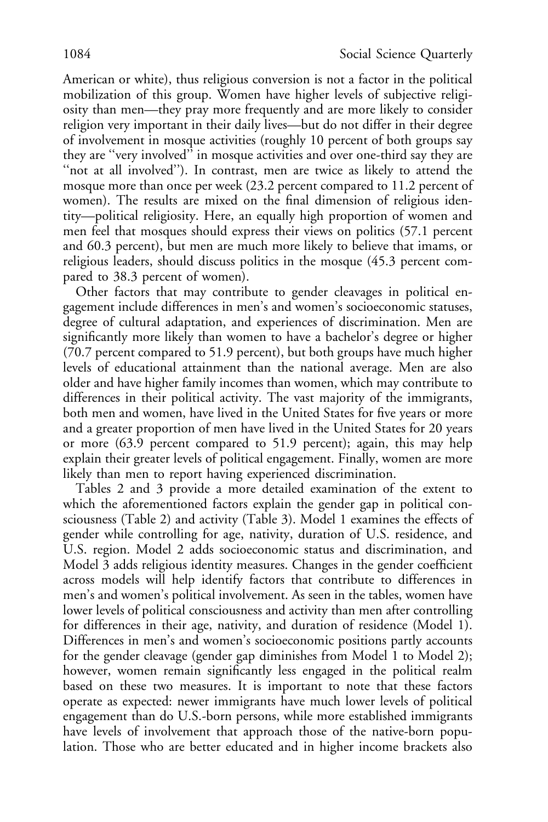American or white), thus religious conversion is not a factor in the political mobilization of this group. Women have higher levels of subjective religiosity than men—they pray more frequently and are more likely to consider religion very important in their daily lives—but do not differ in their degree of involvement in mosque activities (roughly 10 percent of both groups say they are ''very involved'' in mosque activities and over one-third say they are ''not at all involved''). In contrast, men are twice as likely to attend the mosque more than once per week (23.2 percent compared to 11.2 percent of women). The results are mixed on the final dimension of religious identity—political religiosity. Here, an equally high proportion of women and men feel that mosques should express their views on politics (57.1 percent and 60.3 percent), but men are much more likely to believe that imams, or religious leaders, should discuss politics in the mosque (45.3 percent compared to 38.3 percent of women).

Other factors that may contribute to gender cleavages in political engagement include differences in men's and women's socioeconomic statuses, degree of cultural adaptation, and experiences of discrimination. Men are significantly more likely than women to have a bachelor's degree or higher (70.7 percent compared to 51.9 percent), but both groups have much higher levels of educational attainment than the national average. Men are also older and have higher family incomes than women, which may contribute to differences in their political activity. The vast majority of the immigrants, both men and women, have lived in the United States for five years or more and a greater proportion of men have lived in the United States for 20 years or more (63.9 percent compared to 51.9 percent); again, this may help explain their greater levels of political engagement. Finally, women are more likely than men to report having experienced discrimination.

Tables 2 and 3 provide a more detailed examination of the extent to which the aforementioned factors explain the gender gap in political consciousness (Table 2) and activity (Table 3). Model 1 examines the effects of gender while controlling for age, nativity, duration of U.S. residence, and U.S. region. Model 2 adds socioeconomic status and discrimination, and Model 3 adds religious identity measures. Changes in the gender coefficient across models will help identify factors that contribute to differences in men's and women's political involvement. As seen in the tables, women have lower levels of political consciousness and activity than men after controlling for differences in their age, nativity, and duration of residence (Model 1). Differences in men's and women's socioeconomic positions partly accounts for the gender cleavage (gender gap diminishes from Model 1 to Model 2); however, women remain significantly less engaged in the political realm based on these two measures. It is important to note that these factors operate as expected: newer immigrants have much lower levels of political engagement than do U.S.-born persons, while more established immigrants have levels of involvement that approach those of the native-born population. Those who are better educated and in higher income brackets also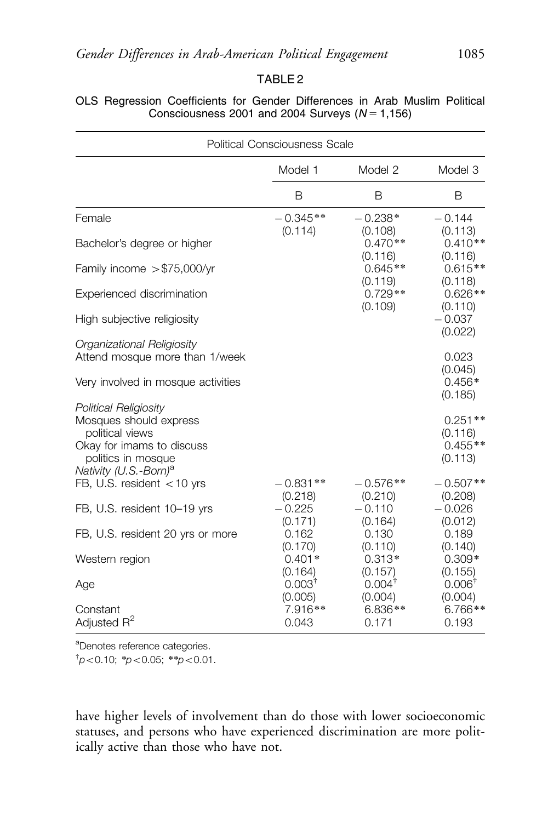#### TABLE 2

| <b>Political Consciousness Scale</b>                                                                                  |                              |                              |                                                         |  |  |  |
|-----------------------------------------------------------------------------------------------------------------------|------------------------------|------------------------------|---------------------------------------------------------|--|--|--|
|                                                                                                                       | Model 1                      | Model 2                      | Model 3                                                 |  |  |  |
|                                                                                                                       | в                            | В                            | B                                                       |  |  |  |
| Female                                                                                                                | $-0.345**$<br>(0.114)        | $-0.238*$<br>(0.108)         | $-0.144$<br>(0.113)                                     |  |  |  |
| Bachelor's degree or higher                                                                                           |                              | $0.470**$                    | $0.410**$                                               |  |  |  |
| Family income $> $75,000/yr$                                                                                          |                              | (0.116)<br>$0.645**$         | (0.116)<br>$0.615**$                                    |  |  |  |
| Experienced discrimination                                                                                            |                              | (0.119)<br>$0.729**$         | (0.118)<br>$0.626**$                                    |  |  |  |
| High subjective religiosity                                                                                           |                              | (0.109)                      | (0.110)<br>$-0.037$                                     |  |  |  |
| Organizational Religiosity<br>Attend mosque more than 1/week                                                          |                              |                              | (0.022)<br>0.023<br>(0.045)                             |  |  |  |
| Very involved in mosque activities                                                                                    |                              |                              | $0.456*$                                                |  |  |  |
| Political Religiosity<br>Mosques should express<br>political views<br>Okay for imams to discuss<br>politics in mosque |                              |                              | (0.185)<br>$0.251**$<br>(0.116)<br>$0.455**$<br>(0.113) |  |  |  |
| Nativity (U.S.-Born) <sup>a</sup><br>FB, U.S. resident $<$ 10 yrs                                                     | $-0.831**$                   | $-0.576**$                   | $-0.507**$                                              |  |  |  |
| FB, U.S. resident 10-19 yrs                                                                                           | (0.218)<br>$-0.225$          | (0.210)<br>$-0.110$          | (0.208)<br>$-0.026$                                     |  |  |  |
| FB, U.S. resident 20 yrs or more                                                                                      | (0.171)<br>0.162<br>(0.170)  | (0.164)<br>0.130<br>(0.110)  | (0.012)<br>0.189<br>(0.140)                             |  |  |  |
| Western region                                                                                                        | $0.401*$                     | $0.313*$                     | $0.309*$                                                |  |  |  |
| Age                                                                                                                   | (0.164)<br>$0.003^{\dagger}$ | (0.157)<br>$0.004^{\dagger}$ | (0.155)<br>$0.006^{\dagger}$                            |  |  |  |
| Constant<br>Adiusted R <sup>2</sup>                                                                                   | (0.005)<br>7.916**<br>0.043  | (0.004)<br>6.836**<br>0.171  | (0.004)<br>6.766**<br>0.193                             |  |  |  |

#### OLS Regression Coefficients for Gender Differences in Arab Muslim Political Consciousness 2001 and 2004 Surveys  $(N = 1,156)$

<sup>a</sup>Denotes reference categories.  $\phi$ <sup>+</sup> $p$  < 0.10; \* $p$  < 0.05; \*\* $p$  < 0.01.

have higher levels of involvement than do those with lower socioeconomic statuses, and persons who have experienced discrimination are more politically active than those who have not.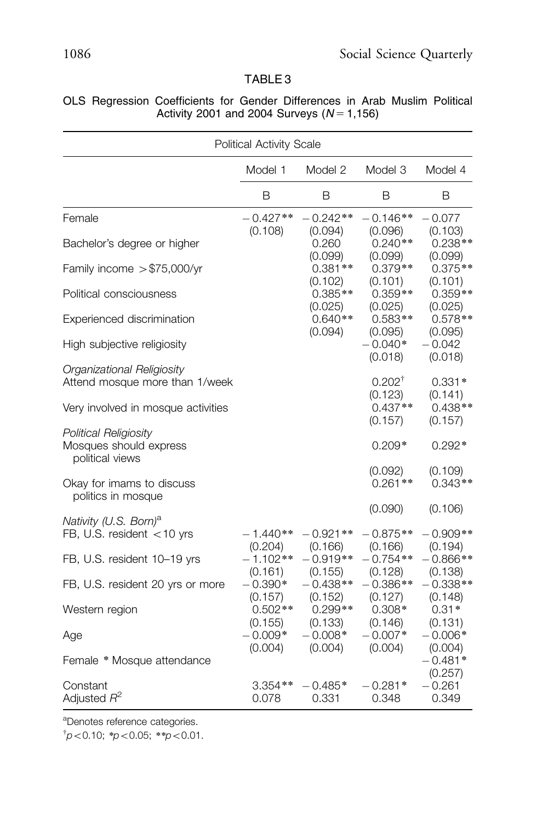## TABLE 3

|                                               |  | OLS Regression Coefficients for Gender Differences in Arab Muslim Political |  |  |  |  |  |  |  |
|-----------------------------------------------|--|-----------------------------------------------------------------------------|--|--|--|--|--|--|--|
| Activity 2001 and 2004 Surveys $(N = 1, 156)$ |  |                                                                             |  |  |  |  |  |  |  |

| <b>Political Activity Scale</b>                                    |                                                                                                             |                                 |                                                                                               |                                                                                              |  |  |  |
|--------------------------------------------------------------------|-------------------------------------------------------------------------------------------------------------|---------------------------------|-----------------------------------------------------------------------------------------------|----------------------------------------------------------------------------------------------|--|--|--|
|                                                                    | Model 1                                                                                                     | Model 2                         | Model 3                                                                                       | Model 4                                                                                      |  |  |  |
|                                                                    | В                                                                                                           | в                               | В                                                                                             | В                                                                                            |  |  |  |
| Female                                                             | $-0.427**$<br>(0.108)                                                                                       | $-0.242**$<br>(0.094)           | $-0.146**$<br>(0.096)                                                                         | $-0.077$<br>(0.103)                                                                          |  |  |  |
| Bachelor's degree or higher                                        |                                                                                                             | 0.260<br>(0.099)                | $0.240**$<br>(0.099)                                                                          | $0.238**$<br>(0.099)                                                                         |  |  |  |
| Family income $> $75,000$ /yr                                      |                                                                                                             | $0.381**$<br>(0.102)            | $0.379**$<br>(0.101)<br>$0.359**$<br>(0.025)<br>$0.583**$<br>(0.095)<br>$-0.040*$             | $0.375**$<br>(0.101)                                                                         |  |  |  |
| Political consciousness                                            |                                                                                                             | $0.385**$                       |                                                                                               | $0.359**$                                                                                    |  |  |  |
| Experienced discrimination                                         |                                                                                                             | (0.025)<br>$0.640**$<br>(0.094) |                                                                                               | (0.025)<br>$0.578**$<br>(0.095)                                                              |  |  |  |
| High subjective religiosity                                        |                                                                                                             |                                 |                                                                                               | $-0.042$                                                                                     |  |  |  |
| Organizational Religiosity<br>Attend mosque more than 1/week       |                                                                                                             |                                 | (0.018)<br>$0.202^{\dagger}$                                                                  | (0.018)<br>$0.331*$                                                                          |  |  |  |
| Very involved in mosque activities                                 |                                                                                                             |                                 | (0.123)<br>$0.437**$<br>(0.157)                                                               | (0.141)<br>$0.438**$<br>(0.157)                                                              |  |  |  |
| Political Religiosity<br>Mosques should express<br>political views |                                                                                                             |                                 | $0.209*$                                                                                      | $0.292*$                                                                                     |  |  |  |
| Okay for imams to discuss<br>politics in mosque                    |                                                                                                             |                                 | (0.092)<br>$0.261**$                                                                          | (0.109)<br>$0.343**$                                                                         |  |  |  |
| Nativity (U.S. Born) <sup>a</sup><br>FB, U.S. resident $<$ 10 yrs  | $-1.440**$<br>(0.204)<br>$-1.102**$<br>(0.161)<br>$-0.390*$<br>(0.157)<br>$0.502**$<br>(0.155)<br>$-0.009*$ | $-0.921**$                      | (0.090)<br>$-0.875**$                                                                         | (0.106)<br>$-0.909**$                                                                        |  |  |  |
| FB, U.S. resident 10-19 yrs                                        |                                                                                                             | (0.166)<br>$-0.919**$           | (0.166)<br>$-0.754**$<br>(0.128)<br>$-0.386**$<br>(0.127)<br>$0.308*$<br>(0.146)<br>$-0.007*$ | (0.194)<br>$-0.866**$<br>(0.138)<br>$-0.338**$<br>(0.148)<br>$0.31*$<br>(0.131)<br>$-0.006*$ |  |  |  |
| FB, U.S. resident 20 yrs or more                                   |                                                                                                             | (0.155)<br>$-0.438**$           |                                                                                               |                                                                                              |  |  |  |
| Western region                                                     |                                                                                                             | (0.152)<br>$0.299**$            |                                                                                               |                                                                                              |  |  |  |
| Age                                                                |                                                                                                             | (0.133)<br>$-0.008*$            |                                                                                               |                                                                                              |  |  |  |
| Female * Mosque attendance                                         | (0.004)                                                                                                     | (0.004)                         | (0.004)                                                                                       | (0.004)<br>$-0.481*$                                                                         |  |  |  |
| Constant<br>Adjusted $R^2$                                         | $3.354**$<br>0.078                                                                                          | $-0.485*$<br>0.331              | $-0.281*$<br>0.348                                                                            | (0.257)<br>$-0.261$<br>0.349                                                                 |  |  |  |

<sup>a</sup>Denotes reference categories.

 $\phi$ <sup>+</sup> $p$  < 0.10; \* $p$  < 0.05; \*\* $p$  < 0.01.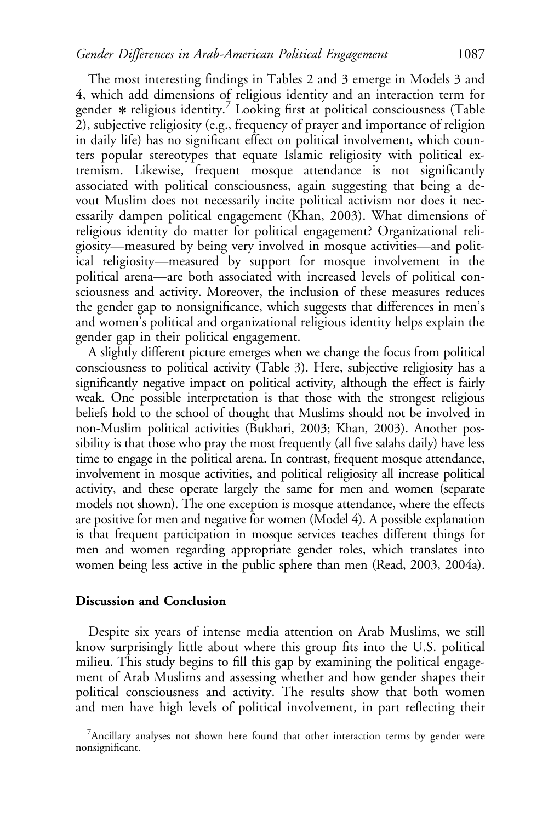The most interesting findings in Tables 2 and 3 emerge in Models 3 and 4, which add dimensions of religious identity and an interaction term for gender  $*$  religious identity.<sup>7</sup> Looking first at political consciousness (Table 2), subjective religiosity (e.g., frequency of prayer and importance of religion in daily life) has no significant effect on political involvement, which counters popular stereotypes that equate Islamic religiosity with political extremism. Likewise, frequent mosque attendance is not significantly associated with political consciousness, again suggesting that being a devout Muslim does not necessarily incite political activism nor does it necessarily dampen political engagement (Khan, 2003). What dimensions of religious identity do matter for political engagement? Organizational religiosity—measured by being very involved in mosque activities—and political religiosity—measured by support for mosque involvement in the political arena—are both associated with increased levels of political consciousness and activity. Moreover, the inclusion of these measures reduces the gender gap to nonsignificance, which suggests that differences in men's and women's political and organizational religious identity helps explain the gender gap in their political engagement.

A slightly different picture emerges when we change the focus from political consciousness to political activity (Table 3). Here, subjective religiosity has a significantly negative impact on political activity, although the effect is fairly weak. One possible interpretation is that those with the strongest religious beliefs hold to the school of thought that Muslims should not be involved in non-Muslim political activities (Bukhari, 2003; Khan, 2003). Another possibility is that those who pray the most frequently (all five salahs daily) have less time to engage in the political arena. In contrast, frequent mosque attendance, involvement in mosque activities, and political religiosity all increase political activity, and these operate largely the same for men and women (separate models not shown). The one exception is mosque attendance, where the effects are positive for men and negative for women (Model 4). A possible explanation is that frequent participation in mosque services teaches different things for men and women regarding appropriate gender roles, which translates into women being less active in the public sphere than men (Read, 2003, 2004a).

## Discussion and Conclusion

Despite six years of intense media attention on Arab Muslims, we still know surprisingly little about where this group fits into the U.S. political milieu. This study begins to fill this gap by examining the political engagement of Arab Muslims and assessing whether and how gender shapes their political consciousness and activity. The results show that both women and men have high levels of political involvement, in part reflecting their

<sup>&</sup>lt;sup>7</sup>Ancillary analyses not shown here found that other interaction terms by gender were nonsignificant.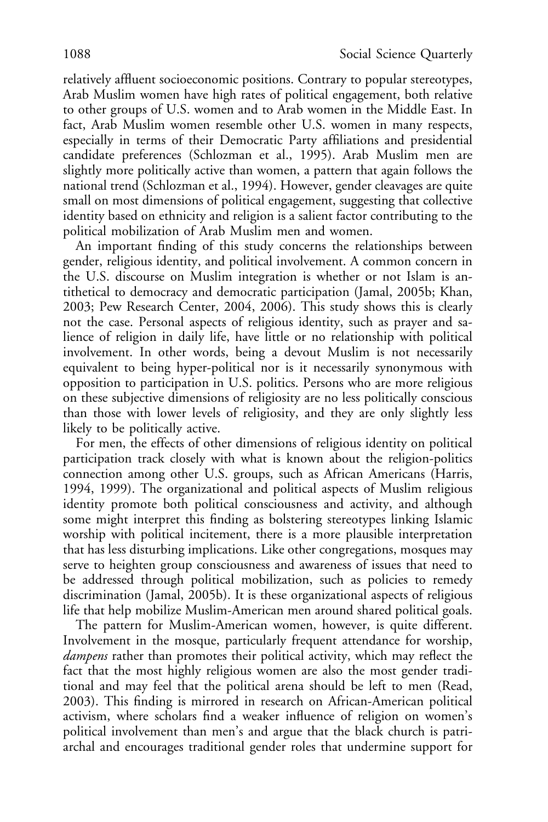relatively affluent socioeconomic positions. Contrary to popular stereotypes, Arab Muslim women have high rates of political engagement, both relative to other groups of U.S. women and to Arab women in the Middle East. In fact, Arab Muslim women resemble other U.S. women in many respects, especially in terms of their Democratic Party affiliations and presidential candidate preferences (Schlozman et al., 1995). Arab Muslim men are slightly more politically active than women, a pattern that again follows the national trend (Schlozman et al., 1994). However, gender cleavages are quite small on most dimensions of political engagement, suggesting that collective identity based on ethnicity and religion is a salient factor contributing to the political mobilization of Arab Muslim men and women.

An important finding of this study concerns the relationships between gender, religious identity, and political involvement. A common concern in the U.S. discourse on Muslim integration is whether or not Islam is antithetical to democracy and democratic participation (Jamal, 2005b; Khan, 2003; Pew Research Center, 2004, 2006). This study shows this is clearly not the case. Personal aspects of religious identity, such as prayer and salience of religion in daily life, have little or no relationship with political involvement. In other words, being a devout Muslim is not necessarily equivalent to being hyper-political nor is it necessarily synonymous with opposition to participation in U.S. politics. Persons who are more religious on these subjective dimensions of religiosity are no less politically conscious than those with lower levels of religiosity, and they are only slightly less likely to be politically active.

For men, the effects of other dimensions of religious identity on political participation track closely with what is known about the religion-politics connection among other U.S. groups, such as African Americans (Harris, 1994, 1999). The organizational and political aspects of Muslim religious identity promote both political consciousness and activity, and although some might interpret this finding as bolstering stereotypes linking Islamic worship with political incitement, there is a more plausible interpretation that has less disturbing implications. Like other congregations, mosques may serve to heighten group consciousness and awareness of issues that need to be addressed through political mobilization, such as policies to remedy discrimination (Jamal, 2005b). It is these organizational aspects of religious life that help mobilize Muslim-American men around shared political goals.

The pattern for Muslim-American women, however, is quite different. Involvement in the mosque, particularly frequent attendance for worship, *dampens* rather than promotes their political activity, which may reflect the fact that the most highly religious women are also the most gender traditional and may feel that the political arena should be left to men (Read, 2003). This finding is mirrored in research on African-American political activism, where scholars find a weaker influence of religion on women's political involvement than men's and argue that the black church is patriarchal and encourages traditional gender roles that undermine support for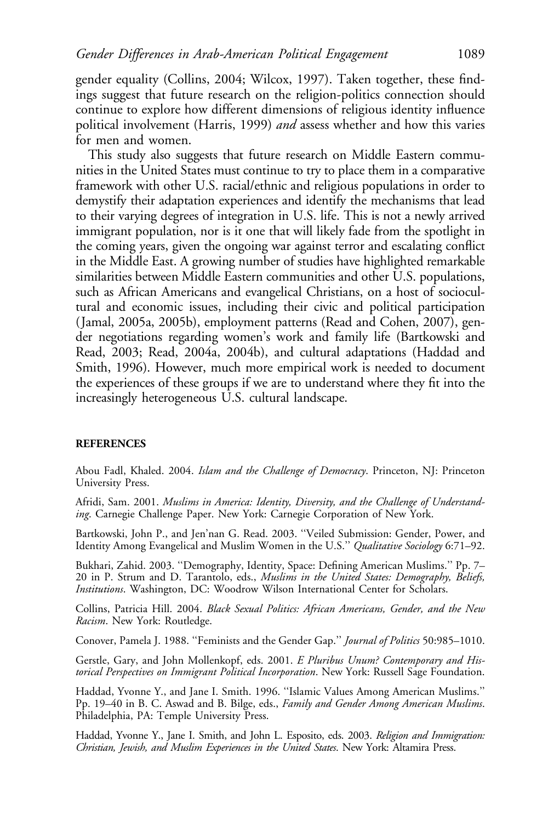gender equality (Collins, 2004; Wilcox, 1997). Taken together, these findings suggest that future research on the religion-politics connection should continue to explore how different dimensions of religious identity influence political involvement (Harris, 1999) and assess whether and how this varies for men and women.

This study also suggests that future research on Middle Eastern communities in the United States must continue to try to place them in a comparative framework with other U.S. racial/ethnic and religious populations in order to demystify their adaptation experiences and identify the mechanisms that lead to their varying degrees of integration in U.S. life. This is not a newly arrived immigrant population, nor is it one that will likely fade from the spotlight in the coming years, given the ongoing war against terror and escalating conflict in the Middle East. A growing number of studies have highlighted remarkable similarities between Middle Eastern communities and other U.S. populations, such as African Americans and evangelical Christians, on a host of sociocultural and economic issues, including their civic and political participation (Jamal, 2005a, 2005b), employment patterns (Read and Cohen, 2007), gender negotiations regarding women's work and family life (Bartkowski and Read, 2003; Read, 2004a, 2004b), and cultural adaptations (Haddad and Smith, 1996). However, much more empirical work is needed to document the experiences of these groups if we are to understand where they fit into the increasingly heterogeneous U.S. cultural landscape.

#### **REFERENCES**

Abou Fadl, Khaled. 2004. Islam and the Challenge of Democracy. Princeton, NJ: Princeton University Press.

Afridi, Sam. 2001. Muslims in America: Identity, Diversity, and the Challenge of Understanding. Carnegie Challenge Paper. New York: Carnegie Corporation of New York.

Bartkowski, John P., and Jen'nan G. Read. 2003. ''Veiled Submission: Gender, Power, and Identity Among Evangelical and Muslim Women in the U.S.'' Qualitative Sociology 6:71–92.

Bukhari, Zahid. 2003. ''Demography, Identity, Space: Defining American Muslims.'' Pp. 7– 20 in P. Strum and D. Tarantolo, eds., Muslims in the United States: Demography, Beliefs, Institutions. Washington, DC: Woodrow Wilson International Center for Scholars.

Collins, Patricia Hill. 2004. Black Sexual Politics: African Americans, Gender, and the New Racism. New York: Routledge.

Conover, Pamela J. 1988. ''Feminists and the Gender Gap.'' Journal of Politics 50:985–1010.

Gerstle, Gary, and John Mollenkopf, eds. 2001. E Pluribus Unum? Contemporary and Historical Perspectives on Immigrant Political Incorporation. New York: Russell Sage Foundation.

Haddad, Yvonne Y., and Jane I. Smith. 1996. ''Islamic Values Among American Muslims.'' Pp. 19–40 in B. C. Aswad and B. Bilge, eds., Family and Gender Among American Muslims. Philadelphia, PA: Temple University Press.

Haddad, Yvonne Y., Jane I. Smith, and John L. Esposito, eds. 2003. Religion and Immigration: Christian, Jewish, and Muslim Experiences in the United States. New York: Altamira Press.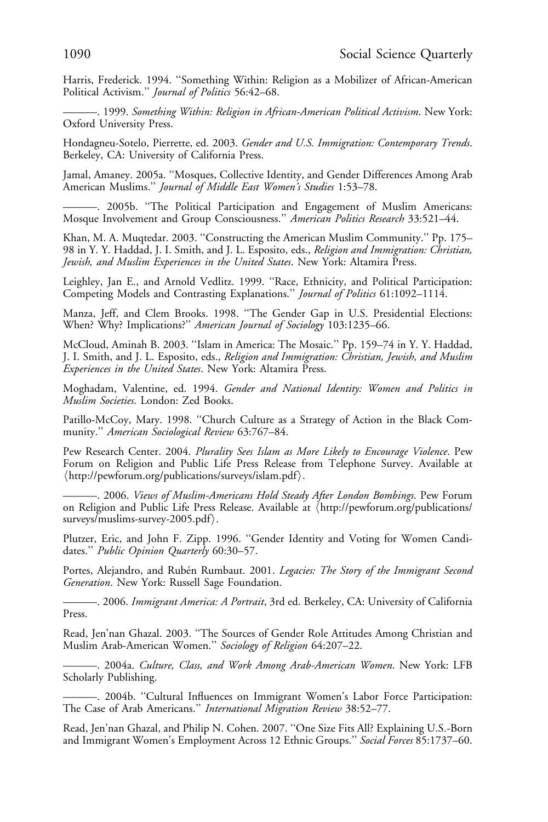Harris, Frederick. 1994. ''Something Within: Religion as a Mobilizer of African-American Political Activism." Journal of Politics 56:42-68.

———. 1999. Something Within: Religion in African-American Political Activism. New York: Oxford University Press.

Hondagneu-Sotelo, Pierrette, ed. 2003. Gender and U.S. Immigration: Contemporary Trends. Berkeley, CA: University of California Press.

Jamal, Amaney. 2005a. ''Mosques, Collective Identity, and Gender Differences Among Arab American Muslims." Journal of Middle East Women's Studies 1:53-78.

———. 2005b. ''The Political Participation and Engagement of Muslim Americans: Mosque Involvement and Group Consciousness.'' American Politics Research 33:521–44.

Khan, M. A. Muqtedar. 2003. ''Constructing the American Muslim Community.'' Pp. 175– 98 in Y. Y. Haddad, J. I. Smith, and J. L. Esposito, eds., Religion and Immigration: Christian, Jewish, and Muslim Experiences in the United States. New York: Altamira Press.

Leighley, Jan E., and Arnold Vedlitz. 1999. ''Race, Ethnicity, and Political Participation: Competing Models and Contrasting Explanations.'' Journal of Politics 61:1092–1114.

Manza, Jeff, and Clem Brooks. 1998. ''The Gender Gap in U.S. Presidential Elections: When? Why? Implications?" American Journal of Sociology 103:1235-66.

McCloud, Aminah B. 2003. ''Islam in America: The Mosaic.'' Pp. 159–74 in Y. Y. Haddad, J. I. Smith, and J. L. Esposito, eds., Religion and Immigration: Christian, Jewish, and Muslim Experiences in the United States. New York: Altamira Press.

Moghadam, Valentine, ed. 1994. Gender and National Identity: Women and Politics in Muslim Societies. London: Zed Books.

Patillo-McCoy, Mary. 1998. ''Church Culture as a Strategy of Action in the Black Community.'' American Sociological Review 63:767–84.

Pew Research Center. 2004. Plurality Sees Islam as More Likely to Encourage Violence. Pew Forum on Religion and Public Life Press Release from Telephone Survey. Available at  $\langle$ http://pewforum.org/publications/surveys/islam.pdf $\rangle$ .

-. 2006. Views of Muslim-Americans Hold Steady After London Bombings. Pew Forum on Religion and Public Life Press Release. Available at  $\langle$ http://pewforum.org/publications/  $surveys/muslims-survey-2005.pdf$ .

Plutzer, Eric, and John F. Zipp. 1996. ''Gender Identity and Voting for Women Candidates." Public Opinion Quarterly 60:30-57.

Portes, Alejandro, and Rubén Rumbaut. 2001. Legacies: The Story of the Immigrant Second Generation. New York: Russell Sage Foundation.

<sup>2006</sup>. *Immigrant America: A Portrait*, 3rd ed. Berkeley, CA: University of California Press.

Read, Jen'nan Ghazal. 2003. ''The Sources of Gender Role Attitudes Among Christian and Muslim Arab-American Women.'' Sociology of Religion 64:207–22.

———. 2004a. Culture, Class, and Work Among Arab-American Women. New York: LFB Scholarly Publishing.

———. 2004b. ''Cultural Influences on Immigrant Women's Labor Force Participation: The Case of Arab Americans." International Migration Review 38:52-77.

Read, Jen'nan Ghazal, and Philip N. Cohen. 2007. ''One Size Fits All? Explaining U.S.-Born and Immigrant Women's Employment Across 12 Ethnic Groups.'' Social Forces 85:1737–60.